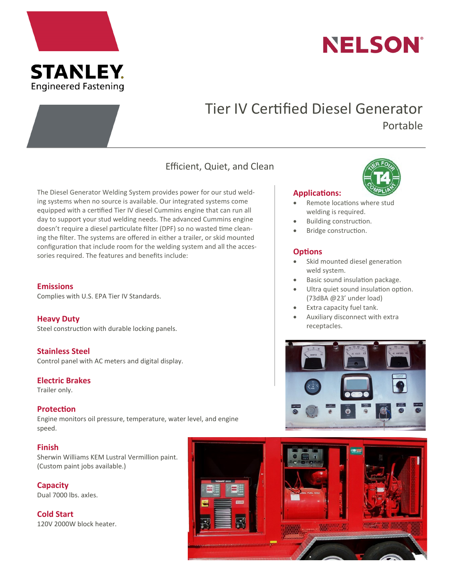



# Tier IV Certified Diesel Generator Portable

# Efficient, Quiet, and Clean

The Diesel Generator Welding System provides power for our stud welding systems when no source is available. Our integrated systems come equipped with a certified Tier IV diesel Cummins engine that can run all day to support your stud welding needs. The advanced Cummins engine doesn't require a diesel particulate filter (DPF) so no wasted time cleaning the filter. The systems are offered in either a trailer, or skid mounted configuration that include room for the welding system and all the accessories required. The features and benefits include:

#### **Emissions**

Complies with U.S. EPA Tier IV Standards.

# **Heavy Duty**

Steel construction with durable locking panels.

**Stainless Steel** Control panel with AC meters and digital display.

# **Electric Brakes**

Trailer only.

#### **Protection**

Engine monitors oil pressure, temperature, water level, and engine speed.

# **Finish**

Sherwin Williams KEM Lustral Vermillion paint. (Custom paint jobs available.)

**Capacity** Dual 7000 lbs. axles.

**Cold Start** 120V 2000W block heater.



#### **Applications:**

- Remote locations where stud welding is required.
- Building construction.
- Bridge construction.

# **Options**

- Skid mounted diesel generation weld system.
- Basic sound insulation package.
- Ultra quiet sound insulation option. (73dBA @23' under load)
- Extra capacity fuel tank.
- Auxiliary disconnect with extra receptacles.